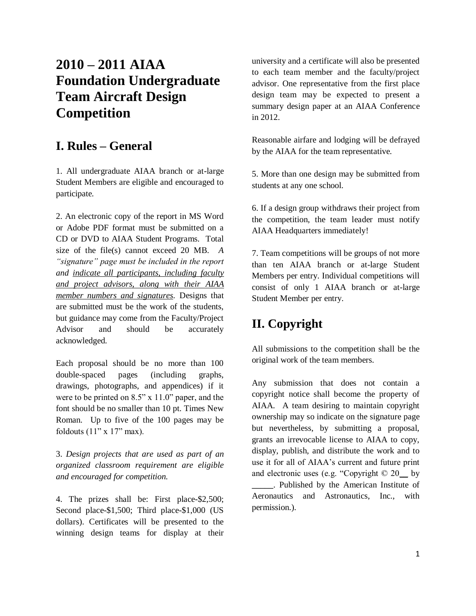# **2010 – 2011 AIAA Foundation Undergraduate Team Aircraft Design Competition**

## **I. Rules – General**

1. All undergraduate AIAA branch or at-large Student Members are eligible and encouraged to participate.

2. An electronic copy of the report in MS Word or Adobe PDF format must be submitted on a CD or DVD to AIAA Student Programs. Total size of the file(s) cannot exceed 20 MB. *A "signature" page must be included in the report and indicate all participants, including faculty and project advisors, along with their AIAA member numbers and signatures.* Designs that are submitted must be the work of the students, but guidance may come from the Faculty/Project Advisor and should be accurately acknowledged.

Each proposal should be no more than 100 double-spaced pages (including graphs, drawings, photographs, and appendices) if it were to be printed on 8.5" x 11.0" paper, and the font should be no smaller than 10 pt. Times New Roman. Up to five of the 100 pages may be foldouts  $(11" \times 17"$  max).

3. *Design projects that are used as part of an organized classroom requirement are eligible and encouraged for competition.*

4. The prizes shall be: First place-\$2,500; Second place-\$1,500; Third place-\$1,000 (US dollars). Certificates will be presented to the winning design teams for display at their university and a certificate will also be presented to each team member and the faculty/project advisor. One representative from the first place design team may be expected to present a summary design paper at an AIAA Conference in 2012.

Reasonable airfare and lodging will be defrayed by the AIAA for the team representative.

5. More than one design may be submitted from students at any one school.

6. If a design group withdraws their project from the competition, the team leader must notify AIAA Headquarters immediately!

7. Team competitions will be groups of not more than ten AIAA branch or at-large Student Members per entry. Individual competitions will consist of only 1 AIAA branch or at-large Student Member per entry.

# **II. Copyright**

permission.).

All submissions to the competition shall be the original work of the team members.

Any submission that does not contain a copyright notice shall become the property of AIAA. A team desiring to maintain copyright ownership may so indicate on the signature page but nevertheless, by submitting a proposal, grants an irrevocable license to AIAA to copy, display, publish, and distribute the work and to use it for all of AIAA's current and future print and electronic uses (e.g. "Copyright © 20\_\_ by \_\_\_\_\_. Published by the American Institute of Aeronautics and Astronautics, Inc., with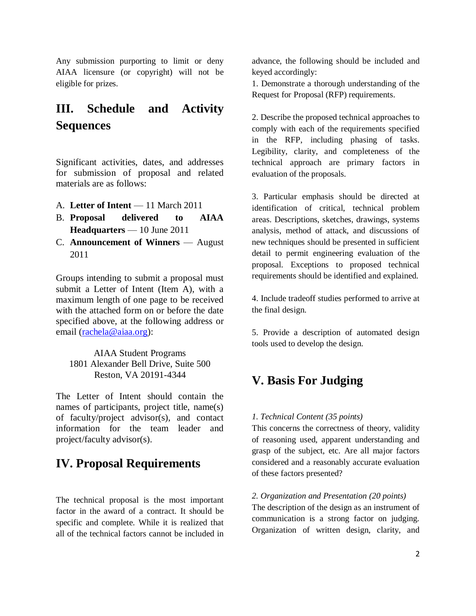Any submission purporting to limit or deny AIAA licensure (or copyright) will not be eligible for prizes.

# **III. Schedule and Activity Sequences**

Significant activities, dates, and addresses for submission of proposal and related materials are as follows:

- A. **Letter of Intent** 11 March 2011
- B. **Proposal delivered to AIAA Headquarters** — 10 June 2011
- C. **Announcement of Winners** August 2011

Groups intending to submit a proposal must submit a Letter of Intent (Item A), with a maximum length of one page to be received with the attached form on or before the date specified above, at the following address or email [\(rachela@aiaa.org\)](mailto:rachela@aiaa.org):

AIAA Student Programs 1801 Alexander Bell Drive, Suite 500 Reston, VA 20191-4344

The Letter of Intent should contain the names of participants, project title, name(s) of faculty/project advisor(s), and contact information for the team leader and project/faculty advisor(s).

## **IV. Proposal Requirements**

The technical proposal is the most important factor in the award of a contract. It should be specific and complete. While it is realized that all of the technical factors cannot be included in advance, the following should be included and keyed accordingly:

1. Demonstrate a thorough understanding of the Request for Proposal (RFP) requirements.

2. Describe the proposed technical approaches to comply with each of the requirements specified in the RFP, including phasing of tasks. Legibility, clarity, and completeness of the technical approach are primary factors in evaluation of the proposals.

3. Particular emphasis should be directed at identification of critical, technical problem areas. Descriptions, sketches, drawings, systems analysis, method of attack, and discussions of new techniques should be presented in sufficient detail to permit engineering evaluation of the proposal. Exceptions to proposed technical requirements should be identified and explained.

4. Include tradeoff studies performed to arrive at the final design.

5. Provide a description of automated design tools used to develop the design.

## **V. Basis For Judging**

### *1. Technical Content (35 points)*

This concerns the correctness of theory, validity of reasoning used, apparent understanding and grasp of the subject, etc. Are all major factors considered and a reasonably accurate evaluation of these factors presented?

### *2. Organization and Presentation (20 points)*

The description of the design as an instrument of communication is a strong factor on judging. Organization of written design, clarity, and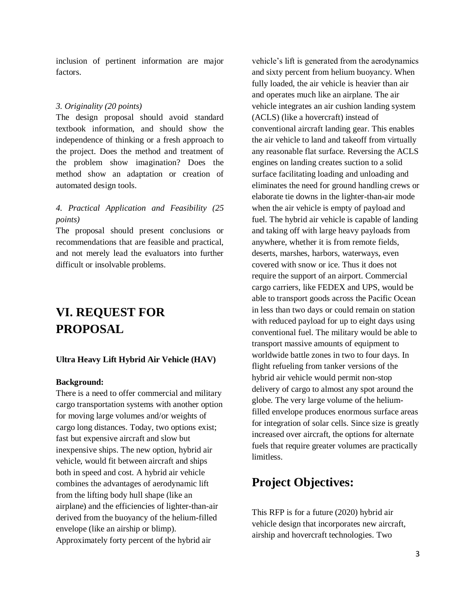inclusion of pertinent information are major factors.

#### *3. Originality (20 points)*

The design proposal should avoid standard textbook information, and should show the independence of thinking or a fresh approach to the project. Does the method and treatment of the problem show imagination? Does the method show an adaptation or creation of automated design tools.

### *4. Practical Application and Feasibility (25 points)*

The proposal should present conclusions or recommendations that are feasible and practical, and not merely lead the evaluators into further difficult or insolvable problems.

## **VI. REQUEST FOR PROPOSAL**

#### **Ultra Heavy Lift Hybrid Air Vehicle (HAV)**

#### **Background:**

There is a need to offer commercial and military cargo transportation systems with another option for moving large volumes and/or weights of cargo long distances. Today, two options exist; fast but expensive aircraft and slow but inexpensive ships. The new option, hybrid air vehicle, would fit between aircraft and ships both in speed and cost. A hybrid air vehicle combines the advantages of aerodynamic lift from the lifting body hull shape (like an airplane) and the efficiencies of lighter-than-air derived from the buoyancy of the helium-filled envelope (like an airship or blimp). Approximately forty percent of the hybrid air

vehicle's lift is generated from the aerodynamics and sixty percent from helium buoyancy. When fully loaded, the air vehicle is heavier than air and operates much like an airplane. The air vehicle integrates an air cushion landing system (ACLS) (like a hovercraft) instead of conventional aircraft landing gear. This enables the air vehicle to land and takeoff from virtually any reasonable flat surface. Reversing the ACLS engines on landing creates suction to a solid surface facilitating loading and unloading and eliminates the need for ground handling crews or elaborate tie downs in the lighter-than-air mode when the air vehicle is empty of payload and fuel. The hybrid air vehicle is capable of landing and taking off with large heavy payloads from anywhere, whether it is from remote fields, deserts, marshes, harbors, waterways, even covered with snow or ice. Thus it does not require the support of an airport. Commercial cargo carriers, like FEDEX and UPS, would be able to transport goods across the Pacific Ocean in less than two days or could remain on station with reduced payload for up to eight days using conventional fuel. The military would be able to transport massive amounts of equipment to worldwide battle zones in two to four days. In flight refueling from tanker versions of the hybrid air vehicle would permit non-stop delivery of cargo to almost any spot around the globe. The very large volume of the heliumfilled envelope produces enormous surface areas for integration of solar cells. Since size is greatly increased over aircraft, the options for alternate fuels that require greater volumes are practically limitless.

### **Project Objectives:**

This RFP is for a future (2020) hybrid air vehicle design that incorporates new aircraft, airship and hovercraft technologies. Two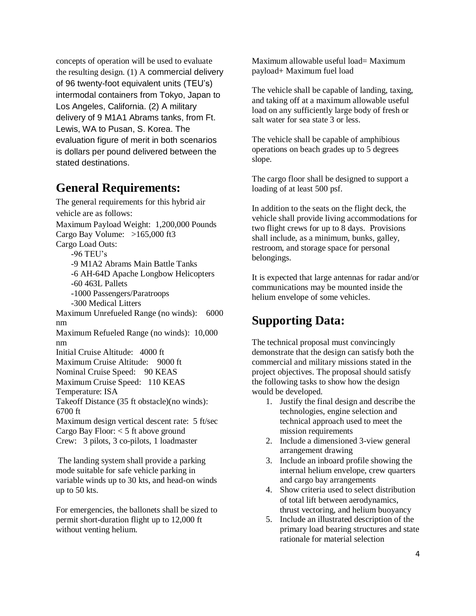concepts of operation will be used to evaluate the resulting design. (1) A commercial delivery of 96 twenty-foot equivalent units (TEU's) intermodal containers from Tokyo, Japan to Los Angeles, California. (2) A military delivery of 9 M1A1 Abrams tanks, from Ft. Lewis, WA to Pusan, S. Korea. The evaluation figure of merit in both scenarios is dollars per pound delivered between the stated destinations.

### **General Requirements:**

The general requirements for this hybrid air vehicle are as follows: Maximum Payload Weight: 1,200,000 Pounds Cargo Bay Volume: >165,000 ft3 Cargo Load Outs: -96 TEU's -9 M1A2 Abrams Main Battle Tanks -6 AH-64D Apache Longbow Helicopters -60 463L Pallets -1000 Passengers/Paratroops -300 Medical Litters Maximum Unrefueled Range (no winds): 6000 nm Maximum Refueled Range (no winds): 10,000 nm Initial Cruise Altitude: 4000 ft Maximum Cruise Altitude: 9000 ft Nominal Cruise Speed: 90 KEAS Maximum Cruise Speed: 110 KEAS Temperature: ISA Takeoff Distance (35 ft obstacle)(no winds): 6700 ft Maximum design vertical descent rate: 5 ft/sec Cargo Bay Floor:  $<$  5 ft above ground Crew: 3 pilots, 3 co-pilots, 1 loadmaster

The landing system shall provide a parking mode suitable for safe vehicle parking in variable winds up to 30 kts, and head-on winds up to 50 kts.

For emergencies, the ballonets shall be sized to permit short-duration flight up to 12,000 ft without venting helium.

Maximum allowable useful load= Maximum payload+ Maximum fuel load

The vehicle shall be capable of landing, taxing, and taking off at a maximum allowable useful load on any sufficiently large body of fresh or salt water for sea state 3 or less.

The vehicle shall be capable of amphibious operations on beach grades up to 5 degrees slope.

The cargo floor shall be designed to support a loading of at least 500 psf.

In addition to the seats on the flight deck, the vehicle shall provide living accommodations for two flight crews for up to 8 days. Provisions shall include, as a minimum, bunks, galley, restroom, and storage space for personal belongings.

It is expected that large antennas for radar and/or communications may be mounted inside the helium envelope of some vehicles.

### **Supporting Data:**

The technical proposal must convincingly demonstrate that the design can satisfy both the commercial and military missions stated in the project objectives. The proposal should satisfy the following tasks to show how the design would be developed.

- 1. Justify the final design and describe the technologies, engine selection and technical approach used to meet the mission requirements
- 2. Include a dimensioned 3-view general arrangement drawing
- 3. Include an inboard profile showing the internal helium envelope, crew quarters and cargo bay arrangements
- 4. Show criteria used to select distribution of total lift between aerodynamics, thrust vectoring, and helium buoyancy
- 5. Include an illustrated description of the primary load bearing structures and state rationale for material selection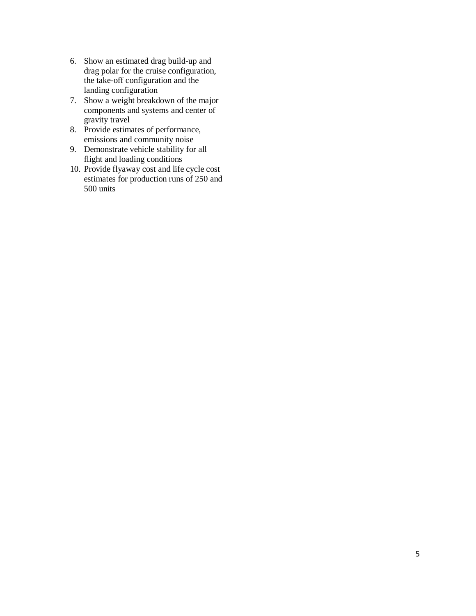- 6. Show an estimated drag build-up and drag polar for the cruise configuration, the take-off configuration and the landing configuration
- 7. Show a weight breakdown of the major components and systems and center of gravity travel
- 8. Provide estimates of performance, emissions and community noise
- 9. Demonstrate vehicle stability for all flight and loading conditions
- 10. Provide flyaway cost and life cycle cost estimates for production runs of 250 and 500 units